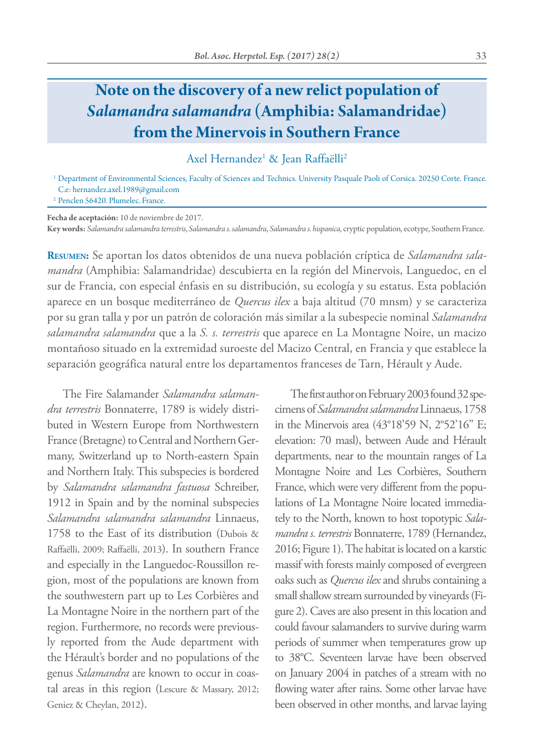## **Note on the discovery of a new relict population of** *Salamandra salamandra* **(Amphibia: Salamandridae) from the Minervois in Southern France**

Axel Hernandez<sup>1</sup> & Jean Raffaëlli<sup>2</sup>

<sup>1</sup> Department of Environmental Sciences, Faculty of Sciences and Technics. University Pasquale Paoli of Corsica. 20250 Corte. France. C.e: hernandez.axel.1989@gmail.com

<sup>2</sup> Penclen 56420. Plumelec. France.

**Fecha de aceptación:** 10 de noviembre de 2017.

**Key words:** *Salamandra salamandra terrestris*, *Salamandra s. salamandra*, *Salamandra s. hispanica*, cryptic population, ecotype, Southern France.

**Resumen:** Se aportan los datos obtenidos de una nueva población críptica de *Salamandra salamandra* (Amphibia: Salamandridae) descubierta en la región del Minervois, Languedoc, en el sur de Francia, con especial énfasis en su distribución, su ecología y su estatus. Esta población aparece en un bosque mediterráneo de *Quercus ilex* a baja altitud (70 mnsm) y se caracteriza por su gran talla y por un patrón de coloración más similar a la subespecie nominal *Salamandra salamandra salamandra* que a la *S. s. terrestris* que aparece en La Montagne Noire, un macizo montañoso situado en la extremidad suroeste del Macizo Central, en Francia y que establece la separación geográfica natural entre los departamentos franceses de Tarn, Hérault y Aude.

The Fire Salamander *Salamandra salamandra terrestris* Bonnaterre, 1789 is widely distributed in Western Europe from Northwestern France (Bretagne) to Central and Northern Germany, Switzerland up to North-eastern Spain and Northern Italy. This subspecies is bordered by *Salamandra salamandra fastuosa* Schreiber, 1912 in Spain and by the nominal subspecies *Salamandra salamandra salamandra* Linnaeus, 1758 to the East of its distribution (Dubois & Raffaëlli, 2009; Raffaëlli, 2013). In southern France and especially in the Languedoc-Roussillon region, most of the populations are known from the southwestern part up to Les Corbières and La Montagne Noire in the northern part of the region. Furthermore, no records were previously reported from the Aude department with the Hérault's border and no populations of the genus *Salamandra* are known to occur in coastal areas in this region (Lescure & Massary, 2012; Geniez & Cheylan, 2012).

The first author on February 2003 found 32 specimens of *Salamandra salamandra* Linnaeus, 1758 in the Minervois area (43°18'59 N, 2°52'16" E; elevation: 70 masl), between Aude and Hérault departments, near to the mountain ranges of La Montagne Noire and Les Corbières, Southern France, which were very different from the populations of La Montagne Noire located immediately to the North, known to host topotypic *Salamandra s. terrestris* Bonnaterre, 1789 (Hernandez, 2016; Figure 1). The habitat is located on a karstic massif with forests mainly composed of evergreen oaks such as *Quercus ilex* and shrubs containing a small shallow stream surrounded by vineyards (Figure 2). Caves are also present in this location and could favour salamanders to survive during warm periods of summer when temperatures grow up to 38°C. Seventeen larvae have been observed on January 2004 in patches of a stream with no flowing water after rains. Some other larvae have been observed in other months, and larvae laying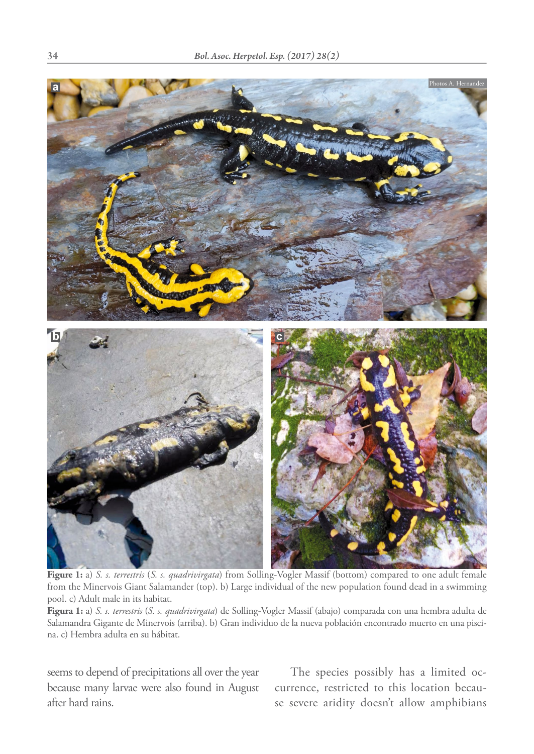

**Figure 1:** a) *S. s. terrestris* (*S. s. quadrivirgata*) from Solling-Vogler Massif (bottom) compared to one adult female from the Minervois Giant Salamander (top). b) Large individual of the new population found dead in a swimming pool. c) Adult male in its habitat.

**Figura 1:** a) *S. s. terrestris* (*S. s. quadrivirgata*) de Solling-Vogler Massif (abajo) comparada con una hembra adulta de Salamandra Gigante de Minervois (arriba). b) Gran individuo de la nueva población encontrado muerto en una piscina. c) Hembra adulta en su hábitat.

seems to depend of precipitations all over the year because many larvae were also found in August after hard rains.

The species possibly has a limited occurrence, restricted to this location because severe aridity doesn't allow amphibians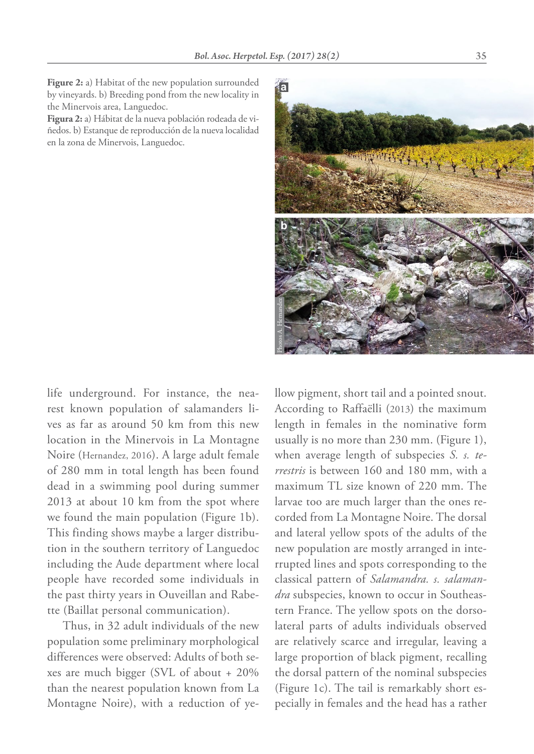**Figure 2:** a) Habitat of the new population surrounded by vineyards. b) Breeding pond from the new locality in the Minervois area, Languedoc.

**Figura 2:** a) Hábitat de la nueva población rodeada de viñedos. b) Estanque de reproducción de la nueva localidad en la zona de Minervois, Languedoc.



life underground. For instance, the nearest known population of salamanders lives as far as around 50 km from this new location in the Minervois in La Montagne Noire (Hernandez, 2016). A large adult female of 280 mm in total length has been found dead in a swimming pool during summer 2013 at about 10 km from the spot where we found the main population (Figure 1b). This finding shows maybe a larger distribution in the southern territory of Languedoc including the Aude department where local people have recorded some individuals in the past thirty years in Ouveillan and Rabette (Baillat personal communication).

Thus, in 32 adult individuals of the new population some preliminary morphological differences were observed: Adults of both sexes are much bigger (SVL of about + 20% than the nearest population known from La Montagne Noire), with a reduction of yellow pigment, short tail and a pointed snout. According to Raffaëlli (2013) the maximum length in females in the nominative form usually is no more than 230 mm. (Figure 1), when average length of subspecies *S. s. terrestris* is between 160 and 180 mm, with a maximum TL size known of 220 mm. The larvae too are much larger than the ones recorded from La Montagne Noire. The dorsal and lateral yellow spots of the adults of the new population are mostly arranged in interrupted lines and spots corresponding to the classical pattern of *Salamandra. s. salamandra* subspecies, known to occur in Southeastern France. The yellow spots on the dorsolateral parts of adults individuals observed are relatively scarce and irregular, leaving a large proportion of black pigment, recalling the dorsal pattern of the nominal subspecies (Figure 1c). The tail is remarkably short es-**Pecifytically in females and the head has a rather diagnonistic figure 1).** When average length of subsequent of subsequent of subsequent of subsequent of subsequent of subsequent of subsequent of subsequent and  $n$  menti